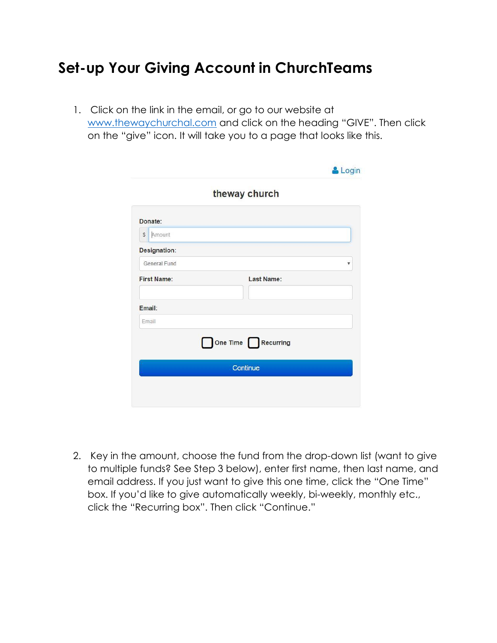## **Set-up Your Giving Account in ChurchTeams**

1. Click on the link in the email, or go to our website at [www.thewaychurchal.com](http://www.thewaychurchal.com/) and click on the heading "GIVE". Then click on the "give" icon. It will take you to a page that looks like this.

|                        | & Login            |
|------------------------|--------------------|
|                        | theway church      |
| Donate:                |                    |
| Amount<br>$\mathbb{S}$ |                    |
| Designation:           |                    |
| General Fund           | v                  |
| <b>First Name:</b>     | Last Name:         |
| Email:                 |                    |
| Email                  |                    |
|                        | One Time Recurring |
|                        | Continue           |
|                        |                    |
|                        |                    |

2. Key in the amount, choose the fund from the drop-down list (want to give to multiple funds? See Step 3 below), enter first name, then last name, and email address. If you just want to give this one time, click the "One Time" box. If you'd like to give automatically weekly, bi-weekly, monthly etc., click the "Recurring box". Then click "Continue."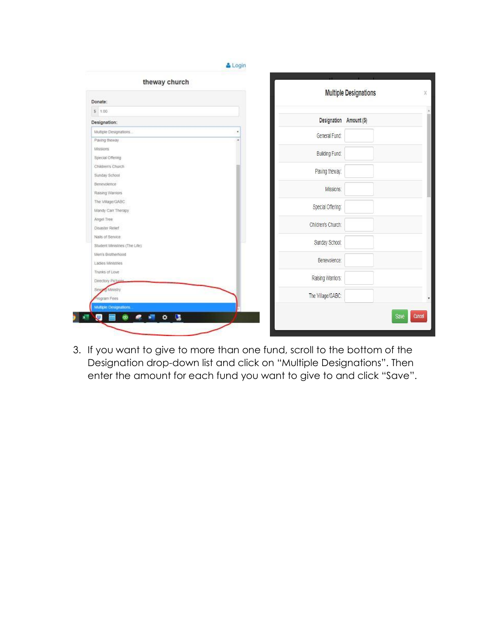| theway church                 |                         | <b>Multiple Designations</b> |
|-------------------------------|-------------------------|------------------------------|
| Donate:                       |                         |                              |
| \$1.00                        |                         |                              |
| Designation:                  | Designation Amount (\$) |                              |
| Multiple Designations         | General Fund:           |                              |
| Paving theway                 |                         |                              |
| Missions                      | Building Fund:          |                              |
| Special Offering              |                         |                              |
| Children's Church             | Paving theway:          |                              |
| Sunday School                 |                         |                              |
| Benevolence                   | Missions:               |                              |
| Raising Warriors              |                         |                              |
| The Village/GABC              | Special Offering:       |                              |
| Mandy Carr Therapy            |                         |                              |
| Angel Tree                    | Children's Church:      |                              |
| <b>Disaster Retief</b>        |                         |                              |
| Nails of Service              | Sunday School:          |                              |
| Student Ministries (The Life) |                         |                              |
| Men's Brotherhood             | Benevolence:            |                              |
| Ladies Ministries             |                         |                              |
| Trunks of Love                | Raising Warriors:       |                              |
| Directory Picture             |                         |                              |
| Sew Ministry                  | The Village/GABC:       |                              |
| rogram Fees                   |                         |                              |
| Multiple Designations.        |                         |                              |

3. If you want to give to more than one fund, scroll to the bottom of the Designation drop-down list and click on "Multiple Designations". Then enter the amount for each fund you want to give to and click "Save".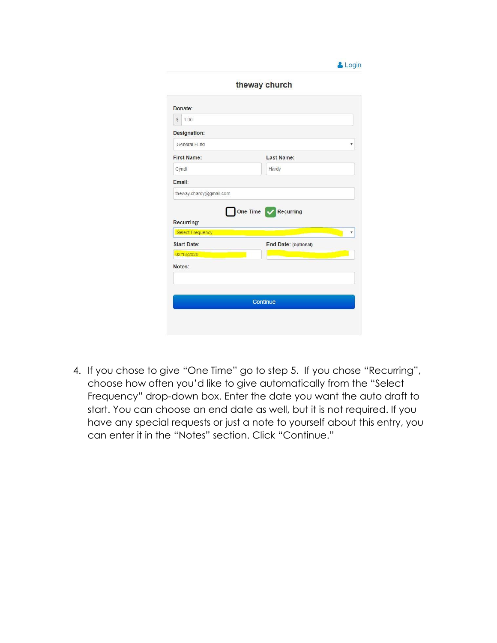|                                            | theway church        |   |
|--------------------------------------------|----------------------|---|
| Donate:                                    |                      |   |
| 1.00<br>S                                  |                      |   |
| Designation:                               |                      |   |
| General Fund                               |                      | Ý |
| <b>First Name:</b>                         | Last Name:           |   |
| Cyndi                                      | Hardy                |   |
| Email:                                     |                      |   |
|                                            |                      |   |
| theway.chardy@gmail.com                    | One Time V Recurring |   |
|                                            |                      |   |
| <b>Select Frequency</b>                    |                      |   |
| 02/13/2020                                 | End Date: (optional) |   |
|                                            |                      |   |
|                                            |                      |   |
|                                            |                      |   |
| Recurring:<br><b>Start Date:</b><br>Notes: | Continue             |   |

& Login

4. If you chose to give "One Time" go to step 5. If you chose "Recurring", choose how often you'd like to give automatically from the "Select Frequency" drop-down box. Enter the date you want the auto draft to start. You can choose an end date as well, but it is not required. If you have any special requests or just a note to yourself about this entry, you can enter it in the "Notes" section. Click "Continue."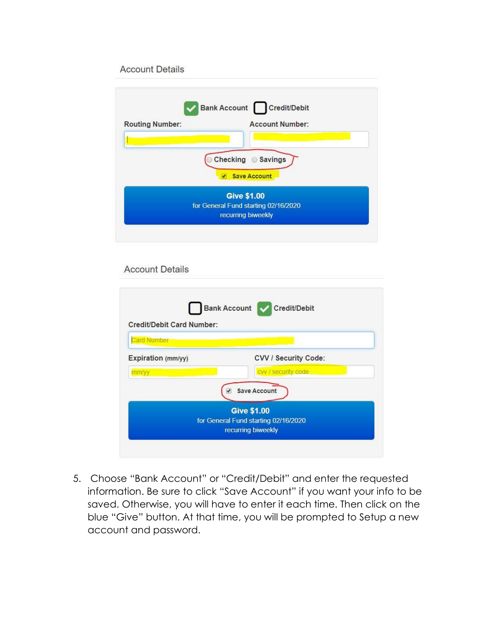## **Account Details**

|                        | Bank Account Credit/Debit            |
|------------------------|--------------------------------------|
| <b>Routing Number:</b> | <b>Account Number:</b>               |
|                        |                                      |
|                        | Checking Savings                     |
|                        |                                      |
|                        | <b>Save Account</b>                  |
|                        | <b>Give \$1.00</b>                   |
|                        | for General Fund starting 02/16/2020 |
|                        | recurring biweekly                   |

## **Account Details**

| Credit/Debit Card Number:   | Bank Account Credit/Debit                                                                               |
|-----------------------------|---------------------------------------------------------------------------------------------------------|
| <b>Card Number</b>          |                                                                                                         |
| Expiration (mm/yy)<br>mm/yy | <b>CVV / Security Code:</b><br>cvv / security code                                                      |
|                             | <b>Save Account</b><br><b>Give \$1.00</b><br>for General Fund starting 02/16/2020<br>recurring biweekly |

5. Choose "Bank Account" or "Credit/Debit" and enter the requested information. Be sure to click "Save Account" if you want your info to be saved. Otherwise, you will have to enter it each time. Then click on the blue "Give" button. At that time, you will be prompted to Setup a new account and password.